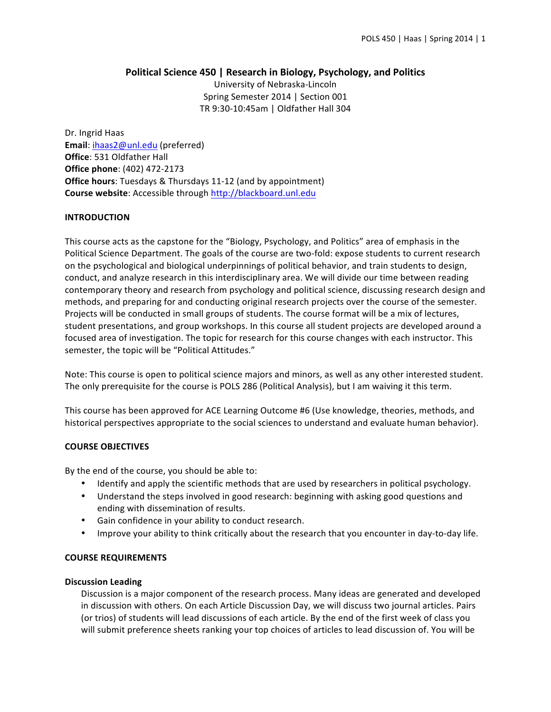# **Political Science 450 | Research in Biology, Psychology, and Politics**

University of Nebraska-Lincoln Spring Semester 2014 | Section 001 TR 9:30-10:45am | Oldfather Hall 304

Dr. Ingrid Haas Email: ihaas2@unl.edu (preferred) **Office**: 531 Oldfather Hall **Office phone**: (402) 472-2173 **Office hours:** Tuesdays & Thursdays 11-12 (and by appointment) **Course website:** Accessible through http://blackboard.unl.edu

# **INTRODUCTION**

This course acts as the capstone for the "Biology, Psychology, and Politics" area of emphasis in the Political Science Department. The goals of the course are two-fold: expose students to current research on the psychological and biological underpinnings of political behavior, and train students to design, conduct, and analyze research in this interdisciplinary area. We will divide our time between reading contemporary theory and research from psychology and political science, discussing research design and methods, and preparing for and conducting original research projects over the course of the semester. Projects will be conducted in small groups of students. The course format will be a mix of lectures, student presentations, and group workshops. In this course all student projects are developed around a focused area of investigation. The topic for research for this course changes with each instructor. This semester, the topic will be "Political Attitudes."

Note: This course is open to political science majors and minors, as well as any other interested student. The only prerequisite for the course is POLS 286 (Political Analysis), but I am waiving it this term.

This course has been approved for ACE Learning Outcome #6 (Use knowledge, theories, methods, and historical perspectives appropriate to the social sciences to understand and evaluate human behavior).

## **COURSE OBJECTIVES**

By the end of the course, you should be able to:

- Identify and apply the scientific methods that are used by researchers in political psychology.
- Understand the steps involved in good research: beginning with asking good questions and ending with dissemination of results.
- Gain confidence in your ability to conduct research.
- Improve your ability to think critically about the research that you encounter in day-to-day life.

## **COURSE REQUIREMENTS**

## **Discussion Leading**

Discussion is a major component of the research process. Many ideas are generated and developed in discussion with others. On each Article Discussion Day, we will discuss two journal articles. Pairs (or trios) of students will lead discussions of each article. By the end of the first week of class you will submit preference sheets ranking your top choices of articles to lead discussion of. You will be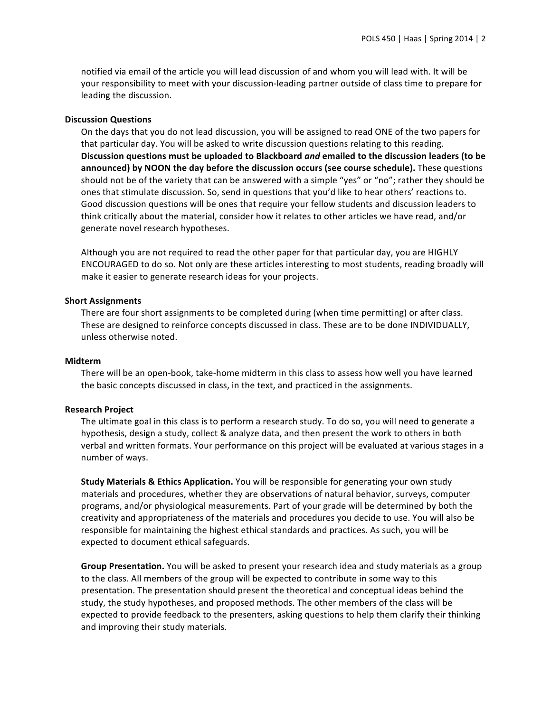notified via email of the article you will lead discussion of and whom you will lead with. It will be your responsibility to meet with your discussion-leading partner outside of class time to prepare for leading the discussion.

#### **Discussion Questions**

On the days that you do not lead discussion, you will be assigned to read ONE of the two papers for that particular day. You will be asked to write discussion questions relating to this reading. Discussion questions must be uploaded to Blackboard *and* emailed to the discussion leaders (to be **announced)** by NOON the day before the discussion occurs (see course schedule). These questions should not be of the variety that can be answered with a simple "yes" or "no"; rather they should be ones that stimulate discussion. So, send in questions that you'd like to hear others' reactions to. Good discussion questions will be ones that require your fellow students and discussion leaders to think critically about the material, consider how it relates to other articles we have read, and/or generate novel research hypotheses.

Although you are not required to read the other paper for that particular day, you are HIGHLY ENCOURAGED to do so. Not only are these articles interesting to most students, reading broadly will make it easier to generate research ideas for your projects.

#### **Short Assignments**

There are four short assignments to be completed during (when time permitting) or after class. These are designed to reinforce concepts discussed in class. These are to be done INDIVIDUALLY, unless otherwise noted.

#### **Midterm**

There will be an open-book, take-home midterm in this class to assess how well you have learned the basic concepts discussed in class, in the text, and practiced in the assignments.

#### **Research Project**

The ultimate goal in this class is to perform a research study. To do so, you will need to generate a hypothesis, design a study, collect & analyze data, and then present the work to others in both verbal and written formats. Your performance on this project will be evaluated at various stages in a number of ways.

**Study Materials & Ethics Application.** You will be responsible for generating your own study materials and procedures, whether they are observations of natural behavior, surveys, computer programs, and/or physiological measurements. Part of your grade will be determined by both the creativity and appropriateness of the materials and procedures you decide to use. You will also be responsible for maintaining the highest ethical standards and practices. As such, you will be expected to document ethical safeguards.

**Group Presentation.** You will be asked to present your research idea and study materials as a group to the class. All members of the group will be expected to contribute in some way to this presentation. The presentation should present the theoretical and conceptual ideas behind the study, the study hypotheses, and proposed methods. The other members of the class will be expected to provide feedback to the presenters, asking questions to help them clarify their thinking and improving their study materials.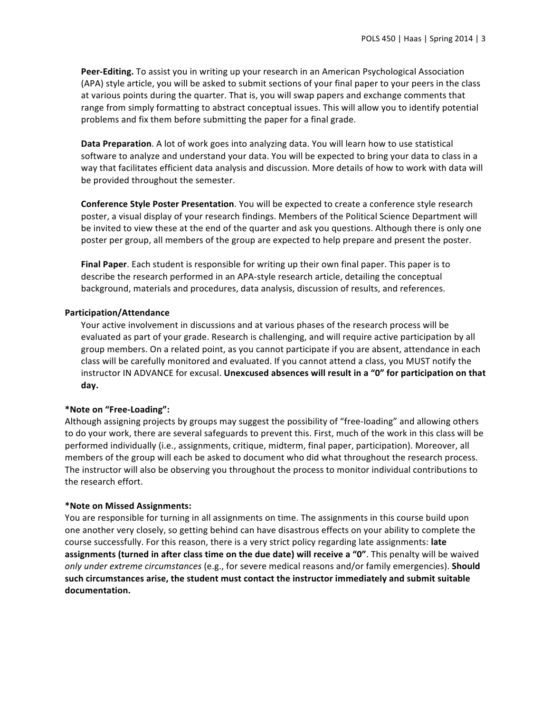**Peer-Editing.** To assist you in writing up your research in an American Psychological Association (APA) style article, you will be asked to submit sections of your final paper to your peers in the class at various points during the quarter. That is, you will swap papers and exchange comments that range from simply formatting to abstract conceptual issues. This will allow you to identify potential problems and fix them before submitting the paper for a final grade.

**Data Preparation**. A lot of work goes into analyzing data. You will learn how to use statistical software to analyze and understand your data. You will be expected to bring your data to class in a way that facilitates efficient data analysis and discussion. More details of how to work with data will be provided throughout the semester.

**Conference Style Poster Presentation**. You will be expected to create a conference style research poster, a visual display of your research findings. Members of the Political Science Department will be invited to view these at the end of the quarter and ask you questions. Although there is only one poster per group, all members of the group are expected to help prepare and present the poster.

**Final Paper**. Each student is responsible for writing up their own final paper. This paper is to describe the research performed in an APA-style research article, detailing the conceptual background, materials and procedures, data analysis, discussion of results, and references.

#### **Participation/Attendance**

Your active involvement in discussions and at various phases of the research process will be evaluated as part of your grade. Research is challenging, and will require active participation by all group members. On a related point, as you cannot participate if you are absent, attendance in each class will be carefully monitored and evaluated. If you cannot attend a class, you MUST notify the instructor IN ADVANCE for excusal. Unexcused absences will result in a "0" for participation on that **day.**

## **\*Note on "Free-Loading":**

Although assigning projects by groups may suggest the possibility of "free-loading" and allowing others to do your work, there are several safeguards to prevent this. First, much of the work in this class will be performed individually (i.e., assignments, critique, midterm, final paper, participation). Moreover, all members of the group will each be asked to document who did what throughout the research process. The instructor will also be observing you throughout the process to monitor individual contributions to the research effort.

#### **\*Note on Missed Assignments:**

You are responsible for turning in all assignments on time. The assignments in this course build upon one another very closely, so getting behind can have disastrous effects on your ability to complete the course successfully. For this reason, there is a very strict policy regarding late assignments: late **assignments (turned in after class time on the due date) will receive a "0"**. This penalty will be waived *only under extreme circumstances* (e.g., for severe medical reasons and/or family emergencies). **Should** such circumstances arise, the student must contact the instructor immediately and submit suitable **documentation.**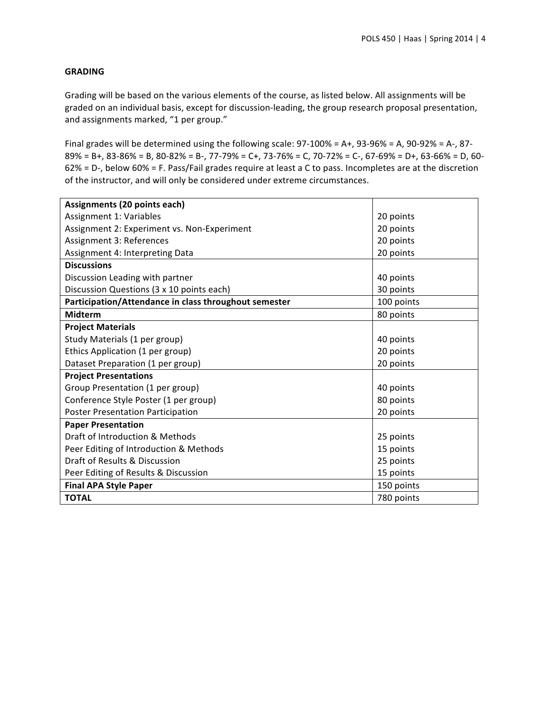# **GRADING**

Grading will be based on the various elements of the course, as listed below. All assignments will be graded on an individual basis, except for discussion-leading, the group research proposal presentation, and assignments marked, "1 per group."

Final grades will be determined using the following scale:  $97-100% = A+$ ,  $93-96% = A$ ,  $90-92% = A-$ ,  $87 89\% = B +$ ,  $83-86\% = B$ ,  $80-82\% = B -$ ,  $77-79\% = C +$ ,  $73-76\% = C$ ,  $70-72\% = C -$ ,  $67-69\% = D +$ ,  $63-66\% = D$ ,  $60 62\%$  = D-, below  $60\%$  = F. Pass/Fail grades require at least a C to pass. Incompletes are at the discretion of the instructor, and will only be considered under extreme circumstances.

| Assignments (20 points each)                          |            |  |  |  |  |
|-------------------------------------------------------|------------|--|--|--|--|
| Assignment 1: Variables                               | 20 points  |  |  |  |  |
| Assignment 2: Experiment vs. Non-Experiment           | 20 points  |  |  |  |  |
| Assignment 3: References                              | 20 points  |  |  |  |  |
| Assignment 4: Interpreting Data                       | 20 points  |  |  |  |  |
| <b>Discussions</b>                                    |            |  |  |  |  |
| Discussion Leading with partner                       | 40 points  |  |  |  |  |
| Discussion Questions (3 x 10 points each)             | 30 points  |  |  |  |  |
| Participation/Attendance in class throughout semester | 100 points |  |  |  |  |
| <b>Midterm</b>                                        | 80 points  |  |  |  |  |
| <b>Project Materials</b>                              |            |  |  |  |  |
| Study Materials (1 per group)                         | 40 points  |  |  |  |  |
| Ethics Application (1 per group)                      | 20 points  |  |  |  |  |
| Dataset Preparation (1 per group)                     | 20 points  |  |  |  |  |
| <b>Project Presentations</b>                          |            |  |  |  |  |
| Group Presentation (1 per group)                      | 40 points  |  |  |  |  |
| Conference Style Poster (1 per group)                 | 80 points  |  |  |  |  |
| <b>Poster Presentation Participation</b>              | 20 points  |  |  |  |  |
| <b>Paper Presentation</b>                             |            |  |  |  |  |
| Draft of Introduction & Methods                       | 25 points  |  |  |  |  |
| Peer Editing of Introduction & Methods                | 15 points  |  |  |  |  |
| Draft of Results & Discussion                         | 25 points  |  |  |  |  |
| Peer Editing of Results & Discussion                  | 15 points  |  |  |  |  |
| <b>Final APA Style Paper</b>                          | 150 points |  |  |  |  |
| <b>TOTAL</b>                                          | 780 points |  |  |  |  |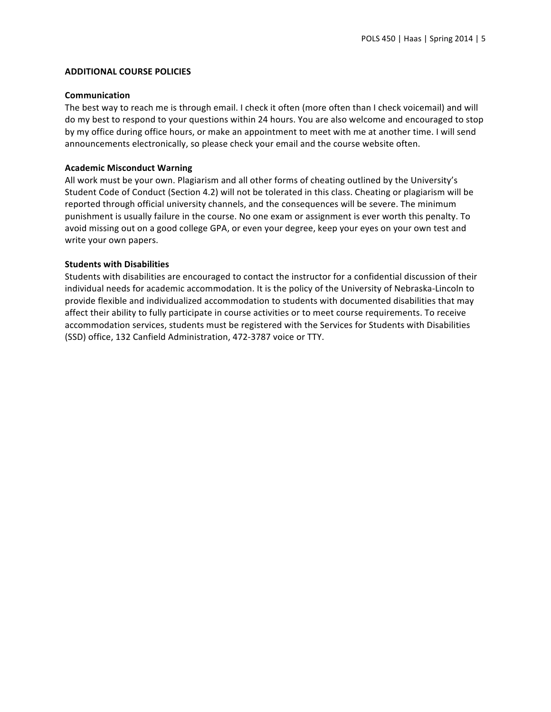# **ADDITIONAL COURSE POLICIES**

## **Communication**

The best way to reach me is through email. I check it often (more often than I check voicemail) and will do my best to respond to your questions within 24 hours. You are also welcome and encouraged to stop by my office during office hours, or make an appointment to meet with me at another time. I will send announcements electronically, so please check your email and the course website often.

# **Academic Misconduct Warning**

All work must be your own. Plagiarism and all other forms of cheating outlined by the University's Student Code of Conduct (Section 4.2) will not be tolerated in this class. Cheating or plagiarism will be reported through official university channels, and the consequences will be severe. The minimum punishment is usually failure in the course. No one exam or assignment is ever worth this penalty. To avoid missing out on a good college GPA, or even your degree, keep your eyes on your own test and write your own papers.

# **Students with Disabilities**

Students with disabilities are encouraged to contact the instructor for a confidential discussion of their individual needs for academic accommodation. It is the policy of the University of Nebraska-Lincoln to provide flexible and individualized accommodation to students with documented disabilities that may affect their ability to fully participate in course activities or to meet course requirements. To receive accommodation services, students must be registered with the Services for Students with Disabilities (SSD) office, 132 Canfield Administration, 472-3787 voice or TTY.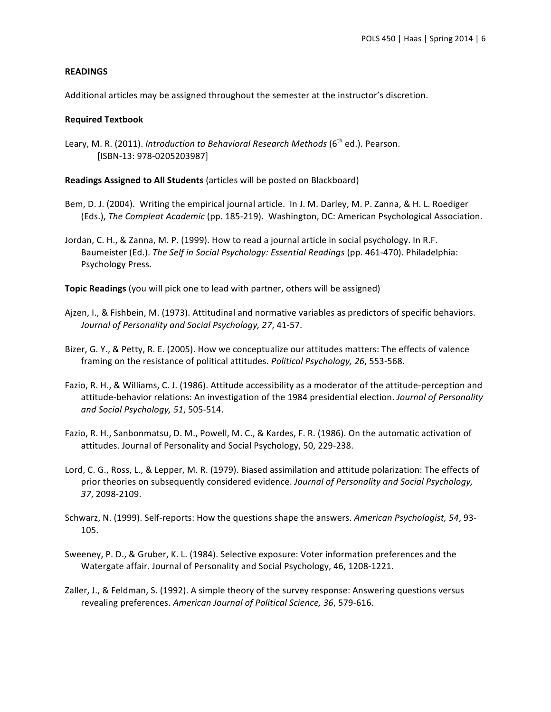# **READINGS**

Additional articles may be assigned throughout the semester at the instructor's discretion.

## **Required Textbook**

Leary, M. R. (2011). *Introduction to Behavioral Research Methods* (6<sup>th</sup> ed.). Pearson. [ISBN-13: 978-0205203987]

**Readings Assigned to All Students** (articles will be posted on Blackboard)

- Bem, D. J. (2004). Writing the empirical journal article. In J. M. Darley, M. P. Zanna, & H. L. Roediger (Eds.), *The Compleat Academic* (pp. 185-219). Washington, DC: American Psychological Association.
- Jordan, C. H., & Zanna, M. P. (1999). How to read a journal article in social psychology. In R.F. Baumeister (Ed.). *The Self in Social Psychology: Essential Readings* (pp. 461-470). Philadelphia: Psychology Press.

**Topic Readings** (you will pick one to lead with partner, others will be assigned)

- Ajzen, I., & Fishbein, M. (1973). Attitudinal and normative variables as predictors of specific behaviors. Journal of Personality and Social Psychology, 27, 41-57.
- Bizer, G. Y., & Petty, R. E. (2005). How we conceptualize our attitudes matters: The effects of valence framing on the resistance of political attitudes. *Political Psychology, 26*, 553-568.
- Fazio, R. H., & Williams, C. J. (1986). Attitude accessibility as a moderator of the attitude-perception and attitude-behavior relations: An investigation of the 1984 presidential election. *Journal of Personality and Social Psychology, 51*, 505-514.
- Fazio, R. H., Sanbonmatsu, D. M., Powell, M. C., & Kardes, F. R. (1986). On the automatic activation of attitudes. Journal of Personality and Social Psychology, 50, 229-238.
- Lord, C. G., Ross, L., & Lepper, M. R. (1979). Biased assimilation and attitude polarization: The effects of prior theories on subsequently considered evidence. *Journal of Personality and Social Psychology*, *37*, 2098-2109.
- Schwarz, N. (1999). Self-reports: How the questions shape the answers. American Psychologist, 54, 93-105.
- Sweeney, P. D., & Gruber, K. L. (1984). Selective exposure: Voter information preferences and the Watergate affair. Journal of Personality and Social Psychology, 46, 1208-1221.
- Zaller, J., & Feldman, S. (1992). A simple theory of the survey response: Answering questions versus revealing preferences. American Journal of Political Science, 36, 579-616.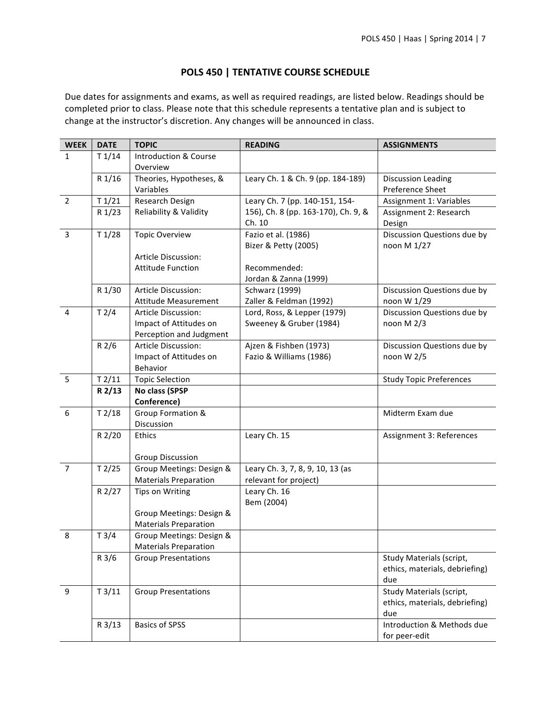# **POLS 450 | TENTATIVE COURSE SCHEDULE**

Due dates for assignments and exams, as well as required readings, are listed below. Readings should be completed prior to class. Please note that this schedule represents a tentative plan and is subject to change at the instructor's discretion. Any changes will be announced in class.

| <b>WEEK</b>    | <b>DATE</b> | <b>TOPIC</b>                     | <b>READING</b>                      | <b>ASSIGNMENTS</b>             |
|----------------|-------------|----------------------------------|-------------------------------------|--------------------------------|
| 1              | T1/14       | <b>Introduction &amp; Course</b> |                                     |                                |
|                |             | Overview                         |                                     |                                |
|                | R 1/16      | Theories, Hypotheses, &          | Leary Ch. 1 & Ch. 9 (pp. 184-189)   | <b>Discussion Leading</b>      |
|                |             | Variables                        |                                     | Preference Sheet               |
| $\overline{2}$ | T1/21       | Research Design                  | Leary Ch. 7 (pp. 140-151, 154-      | Assignment 1: Variables        |
|                | R 1/23      | Reliability & Validity           | 156), Ch. 8 (pp. 163-170), Ch. 9, & | Assignment 2: Research         |
|                |             |                                  | Ch. 10                              | Design                         |
| $\overline{3}$ | T1/28       | <b>Topic Overview</b>            | Fazio et al. (1986)                 | Discussion Questions due by    |
|                |             |                                  | Bizer & Petty (2005)                | noon M 1/27                    |
|                |             | Article Discussion:              |                                     |                                |
|                |             | <b>Attitude Function</b>         | Recommended:                        |                                |
|                |             |                                  | Jordan & Zanna (1999)               |                                |
|                | R 1/30      | Article Discussion:              | <b>Schwarz (1999)</b>               | Discussion Questions due by    |
|                |             | <b>Attitude Measurement</b>      | Zaller & Feldman (1992)             | noon W 1/29                    |
| 4              | T2/4        | Article Discussion:              | Lord, Ross, & Lepper (1979)         | Discussion Questions due by    |
|                |             | Impact of Attitudes on           | Sweeney & Gruber (1984)             | noon $M$ 2/3                   |
|                |             | Perception and Judgment          |                                     |                                |
|                | R2/6        | Article Discussion:              | Ajzen & Fishben (1973)              | Discussion Questions due by    |
|                |             | Impact of Attitudes on           | Fazio & Williams (1986)             | noon W 2/5                     |
|                |             | Behavior                         |                                     |                                |
| 5              | T2/11       | <b>Topic Selection</b>           |                                     | <b>Study Topic Preferences</b> |
|                | R 2/13      | No class (SPSP                   |                                     |                                |
|                |             | Conference)                      |                                     |                                |
| 6              | T2/18       | Group Formation &                |                                     | Midterm Exam due               |
|                |             | Discussion                       |                                     |                                |
|                | R 2/20      | <b>Ethics</b>                    | Leary Ch. 15                        | Assignment 3: References       |
|                |             |                                  |                                     |                                |
|                |             | <b>Group Discussion</b>          |                                     |                                |
| $\overline{7}$ | T2/25       | Group Meetings: Design &         | Leary Ch. 3, 7, 8, 9, 10, 13 (as    |                                |
|                |             | <b>Materials Preparation</b>     | relevant for project)               |                                |
|                | R 2/27      | <b>Tips on Writing</b>           | Leary Ch. 16                        |                                |
|                |             |                                  | Bem (2004)                          |                                |
|                |             | Group Meetings: Design &         |                                     |                                |
|                |             | <b>Materials Preparation</b>     |                                     |                                |
| 8              | T3/4        | Group Meetings: Design &         |                                     |                                |
|                |             | <b>Materials Preparation</b>     |                                     |                                |
|                | R3/6        | <b>Group Presentations</b>       |                                     | Study Materials (script,       |
|                |             |                                  |                                     | ethics, materials, debriefing) |
|                |             |                                  |                                     | due                            |
| 9              | T3/11       | <b>Group Presentations</b>       |                                     | Study Materials (script,       |
|                |             |                                  |                                     | ethics, materials, debriefing) |
|                |             |                                  |                                     | due                            |
|                | R 3/13      | <b>Basics of SPSS</b>            |                                     | Introduction & Methods due     |
|                |             |                                  |                                     | for peer-edit                  |